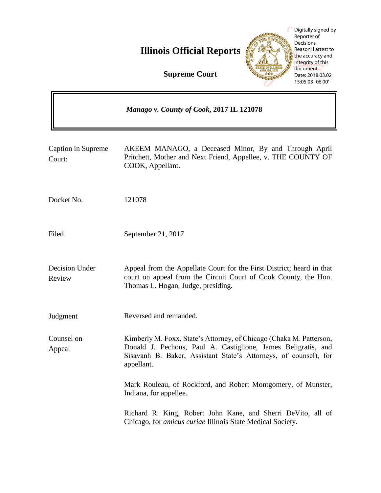**Illinois Official Reports** 



Digitally signed by Reporter of Decisions Reason: I attest to the accuracy and integrity of this document Date: 2018.03.02 15:05:03 -06'00'

ä

**Supreme Court**

 $\mathbf{r}$ 

|                              | Manago v. County of Cook, 2017 IL 121078                                                                                                                                                                               |
|------------------------------|------------------------------------------------------------------------------------------------------------------------------------------------------------------------------------------------------------------------|
| Caption in Supreme<br>Court: | AKEEM MANAGO, a Deceased Minor, By and Through April<br>Pritchett, Mother and Next Friend, Appellee, v. THE COUNTY OF<br>COOK, Appellant.                                                                              |
| Docket No.                   | 121078                                                                                                                                                                                                                 |
| Filed                        | September 21, 2017                                                                                                                                                                                                     |
| Decision Under<br>Review     | Appeal from the Appellate Court for the First District; heard in that<br>court on appeal from the Circuit Court of Cook County, the Hon.<br>Thomas L. Hogan, Judge, presiding.                                         |
| Judgment                     | Reversed and remanded.                                                                                                                                                                                                 |
| Counsel on<br>Appeal         | Kimberly M. Foxx, State's Attorney, of Chicago (Chaka M. Patterson,<br>Donald J. Pechous, Paul A. Castiglione, James Beligratis, and<br>Sisavanh B. Baker, Assistant State's Attorneys, of counsel), for<br>appellant. |
|                              | Mark Rouleau, of Rockford, and Robert Montgomery, of Munster,<br>Indiana, for appellee.                                                                                                                                |
|                              | Richard R. King, Robert John Kane, and Sherri DeVito, all of<br>Chicago, for <i>amicus curiae</i> Illinois State Medical Society.                                                                                      |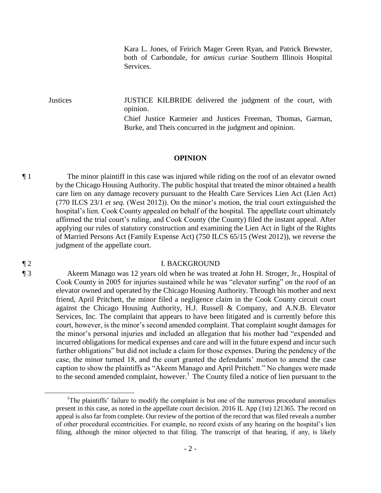Kara L. Jones, of Feirich Mager Green Ryan, and Patrick Brewster, both of Carbondale, for *amicus curiae* Southern Illinois Hospital Services.

Justices JUSTICE KILBRIDE delivered the judgment of the court, with opinion.

Chief Justice Karmeier and Justices Freeman, Thomas, Garman, Burke, and Theis concurred in the judgment and opinion.

## **OPINION**

¶ 1 The minor plaintiff in this case was injured while riding on the roof of an elevator owned by the Chicago Housing Authority. The public hospital that treated the minor obtained a health care lien on any damage recovery pursuant to the Health Care Services Lien Act (Lien Act) (770 ILCS 23/1 *et seq.* (West 2012)). On the minor's motion, the trial court extinguished the hospital's lien. Cook County appealed on behalf of the hospital. The appellate court ultimately affirmed the trial court's ruling, and Cook County (the County) filed the instant appeal. After applying our rules of statutory construction and examining the Lien Act in light of the Rights of Married Persons Act (Family Expense Act) (750 ILCS 65/15 (West 2012)), we reverse the judgment of the appellate court.

## ¶ 2 I. BACKGROUND

¶ 3 Akeem Manago was 12 years old when he was treated at John H. Stroger, Jr., Hospital of Cook County in 2005 for injuries sustained while he was "elevator surfing" on the roof of an elevator owned and operated by the Chicago Housing Authority. Through his mother and next friend, April Pritchett, the minor filed a negligence claim in the Cook County circuit court against the Chicago Housing Authority, H.J. Russell & Company, and A.N.B. Elevator Services, Inc. The complaint that appears to have been litigated and is currently before this court, however, is the minor's second amended complaint. That complaint sought damages for the minor's personal injuries and included an allegation that his mother had "expended and incurred obligations for medical expenses and care and will in the future expend and incur such further obligations" but did not include a claim for those expenses. During the pendency of the case, the minor turned 18, and the court granted the defendants' motion to amend the case caption to show the plaintiffs as "Akeem Manago and April Pritchett." No changes were made to the second amended complaint, however.<sup>1</sup> The County filed a notice of lien pursuant to the

 $\overline{a}$ 

<sup>&</sup>lt;sup>1</sup>The plaintiffs' failure to modify the complaint is but one of the numerous procedural anomalies present in this case, as noted in the appellate court decision. 2016 IL App (1st) 121365. The record on appeal is also far from complete. Our review of the portion of the record that was filed reveals a number of other procedural eccentricities. For example, no record exists of any hearing on the hospital's lien filing, although the minor objected to that filing. The transcript of that hearing, if any, is likely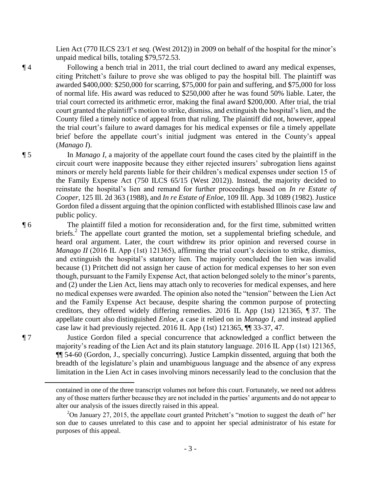Lien Act (770 ILCS 23/1 *et seq.* (West 2012)) in 2009 on behalf of the hospital for the minor's unpaid medical bills, totaling \$79,572.53.

¶ 4 Following a bench trial in 2011, the trial court declined to award any medical expenses, citing Pritchett's failure to prove she was obliged to pay the hospital bill. The plaintiff was awarded \$400,000: \$250,000 for scarring, \$75,000 for pain and suffering, and \$75,000 for loss of normal life. His award was reduced to \$250,000 after he was found 50% liable. Later, the trial court corrected its arithmetic error, making the final award \$200,000. After trial, the trial court granted the plaintiff's motion to strike, dismiss, and extinguish the hospital's lien, and the County filed a timely notice of appeal from that ruling. The plaintiff did not, however, appeal the trial court's failure to award damages for his medical expenses or file a timely appellate brief before the appellate court's initial judgment was entered in the County's appeal (*Manago I*).

¶ 5 In *Manago I*, a majority of the appellate court found the cases cited by the plaintiff in the circuit court were inapposite because they either rejected insurers' subrogation liens against minors or merely held parents liable for their children's medical expenses under section 15 of the Family Expense Act (750 ILCS 65/15 (West 2012)). Instead, the majority decided to reinstate the hospital's lien and remand for further proceedings based on *In re Estate of Cooper*, 125 Ill. 2d 363 (1988), and *In re Estate of Enloe*, 109 Ill. App. 3d 1089 (1982). Justice Gordon filed a dissent arguing that the opinion conflicted with established Illinois case law and public policy.

¶ 6 The plaintiff filed a motion for reconsideration and, for the first time, submitted written briefs.<sup>2</sup> The appellate court granted the motion, set a supplemental briefing schedule, and heard oral argument. Later, the court withdrew its prior opinion and reversed course in *Manago II* (2016 IL App (1st) 121365), affirming the trial court's decision to strike, dismiss, and extinguish the hospital's statutory lien. The majority concluded the lien was invalid because (1) Pritchett did not assign her cause of action for medical expenses to her son even though, pursuant to the Family Expense Act, that action belonged solely to the minor's parents, and (2) under the Lien Act, liens may attach only to recoveries for medical expenses, and here no medical expenses were awarded. The opinion also noted the "tension" between the Lien Act and the Family Expense Act because, despite sharing the common purpose of protecting creditors, they offered widely differing remedies. 2016 IL App (1st) 121365, ¶ 37. The appellate court also distinguished *Enloe*, a case it relied on in *Manago I*, and instead applied case law it had previously rejected. 2016 IL App (1st) 121365, ¶¶ 33-37, 47.

¶ 7 Justice Gordon filed a special concurrence that acknowledged a conflict between the majority's reading of the Lien Act and its plain statutory language. 2016 IL App (1st) 121365, ¶¶ 54-60 (Gordon, J., specially concurring). Justice Lampkin dissented, arguing that both the breadth of the legislature's plain and unambiguous language and the absence of any express limitation in the Lien Act in cases involving minors necessarily lead to the conclusion that the

 $\overline{a}$ 

contained in one of the three transcript volumes not before this court. Fortunately, we need not address any of those matters further because they are not included in the parties' arguments and do not appear to alter our analysis of the issues directly raised in this appeal.

<sup>&</sup>lt;sup>2</sup>On January 27, 2015, the appellate court granted Pritchett's "motion to suggest the death of" her son due to causes unrelated to this case and to appoint her special administrator of his estate for purposes of this appeal.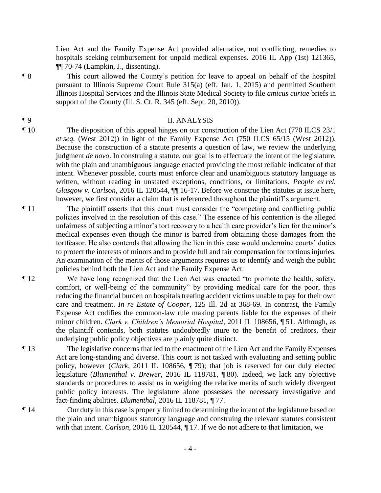Lien Act and the Family Expense Act provided alternative, not conflicting, remedies to hospitals seeking reimbursement for unpaid medical expenses. 2016 IL App (1st) 121365, ¶¶ 70-74 (Lampkin, J., dissenting).

¶ 8 This court allowed the County's petition for leave to appeal on behalf of the hospital pursuant to Illinois Supreme Court Rule 315(a) (eff. Jan. 1, 2015) and permitted Southern Illinois Hospital Services and the Illinois State Medical Society to file *amicus curiae* briefs in support of the County (Ill. S. Ct. R. 345 (eff. Sept. 20, 2010)).

## ¶ 9 II. ANALYSIS

- ¶ 10 The disposition of this appeal hinges on our construction of the Lien Act (770 ILCS 23/1 *et seq.* (West 2012)) in light of the Family Expense Act (750 ILCS 65/15 (West 2012)). Because the construction of a statute presents a question of law, we review the underlying judgment *de novo*. In construing a statute, our goal is to effectuate the intent of the legislature, with the plain and unambiguous language enacted providing the most reliable indicator of that intent. Whenever possible, courts must enforce clear and unambiguous statutory language as written, without reading in unstated exceptions, conditions, or limitations. *People ex rel. Glasgow v. Carlson*, 2016 IL 120544,  $\P\P$  16-17. Before we construe the statutes at issue here, however, we first consider a claim that is referenced throughout the plaintiff's argument.
- ¶ 11 The plaintiff asserts that this court must consider the "competing and conflicting public policies involved in the resolution of this case." The essence of his contention is the alleged unfairness of subjecting a minor's tort recovery to a health care provider's lien for the minor's medical expenses even though the minor is barred from obtaining those damages from the tortfeasor. He also contends that allowing the lien in this case would undermine courts' duties to protect the interests of minors and to provide full and fair compensation for tortious injuries. An examination of the merits of those arguments requires us to identify and weigh the public policies behind both the Lien Act and the Family Expense Act.
- ¶ 12 We have long recognized that the Lien Act was enacted "to promote the health, safety, comfort, or well-being of the community" by providing medical care for the poor, thus reducing the financial burden on hospitals treating accident victims unable to pay for their own care and treatment. *In re Estate of Cooper*, 125 Ill. 2d at 368-69. In contrast, the Family Expense Act codifies the common-law rule making parents liable for the expenses of their minor children. *Clark v. Children's Memorial Hospital*, 2011 IL 108656, ¶ 51. Although, as the plaintiff contends, both statutes undoubtedly inure to the benefit of creditors, their underlying public policy objectives are plainly quite distinct.
- ¶ 13 The legislative concerns that led to the enactment of the Lien Act and the Family Expenses Act are long-standing and diverse. This court is not tasked with evaluating and setting public policy, however (*Clark*, 2011 IL 108656, ¶ 79); that job is reserved for our duly elected legislature (*Blumenthal v. Brewer*, 2016 IL 118781, ¶ 80). Indeed, we lack any objective standards or procedures to assist us in weighing the relative merits of such widely divergent public policy interests. The legislature alone possesses the necessary investigative and fact-finding abilities. *Blumenthal*, 2016 IL 118781, ¶ 77.
- ¶ 14 Our duty in this case is properly limited to determining the intent of the legislature based on the plain and unambiguous statutory language and construing the relevant statutes consistent with that intent. *Carlson*, 2016 IL 120544, ¶ 17. If we do not adhere to that limitation, we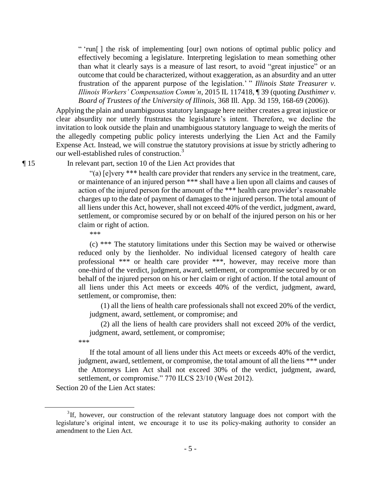" 'run[ ] the risk of implementing [our] own notions of optimal public policy and effectively becoming a legislature. Interpreting legislation to mean something other than what it clearly says is a measure of last resort, to avoid "great injustice" or an outcome that could be characterized, without exaggeration, as an absurdity and an utter frustration of the apparent purpose of the legislation.' " *Illinois State Treasurer v. Illinois Workers' Compensation Comm'n*, 2015 IL 117418, ¶ 39 (quoting *Dusthimer v. Board of Trustees of the University of Illinois*, 368 Ill. App. 3d 159, 168-69 (2006)).

Applying the plain and unambiguous statutory language here neither creates a great injustice or clear absurdity nor utterly frustrates the legislature's intent. Therefore, we decline the invitation to look outside the plain and unambiguous statutory language to weigh the merits of the allegedly competing public policy interests underlying the Lien Act and the Family Expense Act. Instead, we will construe the statutory provisions at issue by strictly adhering to our well-established rules of construction.<sup>3</sup>

¶ 15 In relevant part, section 10 of the Lien Act provides that

"(a) [e]very \*\*\* health care provider that renders any service in the treatment, care, or maintenance of an injured person \*\*\* shall have a lien upon all claims and causes of action of the injured person for the amount of the \*\*\* health care provider's reasonable charges up to the date of payment of damages to the injured person. The total amount of all liens under this Act, however, shall not exceed 40% of the verdict, judgment, award, settlement, or compromise secured by or on behalf of the injured person on his or her claim or right of action.

\*\*\*

 (c) \*\*\* The statutory limitations under this Section may be waived or otherwise reduced only by the lienholder. No individual licensed category of health care professional \*\*\* or health care provider \*\*\*, however, may receive more than one-third of the verdict, judgment, award, settlement, or compromise secured by or on behalf of the injured person on his or her claim or right of action. If the total amount of all liens under this Act meets or exceeds 40% of the verdict, judgment, award, settlement, or compromise, then:

 (1) all the liens of health care professionals shall not exceed 20% of the verdict, judgment, award, settlement, or compromise; and

 (2) all the liens of health care providers shall not exceed 20% of the verdict, judgment, award, settlement, or compromise;

\*\*\*

 $\overline{a}$ 

 If the total amount of all liens under this Act meets or exceeds 40% of the verdict, judgment, award, settlement, or compromise, the total amount of all the liens \*\*\* under the Attorneys Lien Act shall not exceed 30% of the verdict, judgment, award, settlement, or compromise." 770 ILCS 23/10 (West 2012).

Section 20 of the Lien Act states:

 ${}^{3}$ If, however, our construction of the relevant statutory language does not comport with the legislature's original intent, we encourage it to use its policy-making authority to consider an amendment to the Lien Act.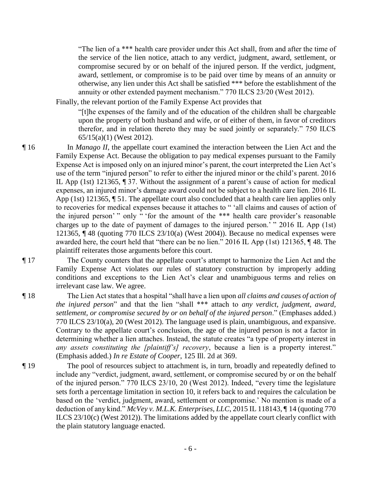"The lien of a \*\*\* health care provider under this Act shall, from and after the time of the service of the lien notice, attach to any verdict, judgment, award, settlement, or compromise secured by or on behalf of the injured person. If the verdict, judgment, award, settlement, or compromise is to be paid over time by means of an annuity or otherwise, any lien under this Act shall be satisfied \*\*\* before the establishment of the annuity or other extended payment mechanism." 770 ILCS 23/20 (West 2012).

Finally, the relevant portion of the Family Expense Act provides that

"[t]he expenses of the family and of the education of the children shall be chargeable upon the property of both husband and wife, or of either of them, in favor of creditors therefor, and in relation thereto they may be sued jointly or separately." 750 ILCS 65/15(a)(1) (West 2012).

- ¶ 16 In *Manago II*, the appellate court examined the interaction between the Lien Act and the Family Expense Act. Because the obligation to pay medical expenses pursuant to the Family Expense Act is imposed only on an injured minor's parent, the court interpreted the Lien Act's use of the term "injured person" to refer to either the injured minor or the child's parent. 2016 IL App (1st) 121365, ¶ 37. Without the assignment of a parent's cause of action for medical expenses, an injured minor's damage award could not be subject to a health care lien. 2016 IL App (1st) 121365, ¶ 51. The appellate court also concluded that a health care lien applies only to recoveries for medical expenses because it attaches to " 'all claims and causes of action of the injured person' " only " 'for the amount of the \*\*\* health care provider's reasonable charges up to the date of payment of damages to the injured person.' " 2016 IL App (1st) 121365, ¶ 48 (quoting 770 ILCS 23/10(a) (West 2004)). Because no medical expenses were awarded here, the court held that "there can be no lien." 2016 IL App (1st) 121365, ¶ 48. The plaintiff reiterates those arguments before this court.
- ¶ 17 The County counters that the appellate court's attempt to harmonize the Lien Act and the Family Expense Act violates our rules of statutory construction by improperly adding conditions and exceptions to the Lien Act's clear and unambiguous terms and relies on irrelevant case law. We agree.
- ¶ 18 The Lien Act states that a hospital "shall have a lien upon *all claims and causes of action of the injured person*" and that the lien "shall \*\*\* attach to *any verdict, judgment, award, settlement, or compromise secured by or on behalf of the injured person*." (Emphases added.) 770 ILCS 23/10(a), 20 (West 2012). The language used is plain, unambiguous, and expansive. Contrary to the appellate court's conclusion, the age of the injured person is not a factor in determining whether a lien attaches. Instead, the statute creates "a type of property interest in *any assets constituting the [plaintiff's] recovery*, because a lien is a property interest." (Emphasis added.) *In re Estate of Cooper*, 125 Ill. 2d at 369.
- ¶ 19 The pool of resources subject to attachment is, in turn, broadly and repeatedly defined to include any "verdict, judgment, award, settlement, or compromise secured by or on the behalf of the injured person." 770 ILCS 23/10, 20 (West 2012). Indeed, "every time the legislature sets forth a percentage limitation in section 10, it refers back to and requires the calculation be based on the 'verdict, judgment, award, settlement or compromise.' No mention is made of a deduction of any kind." *McVey v. M.L.K. Enterprises, LLC*, 2015 IL 118143, ¶ 14 (quoting 770 ILCS 23/10(c) (West 2012)). The limitations added by the appellate court clearly conflict with the plain statutory language enacted.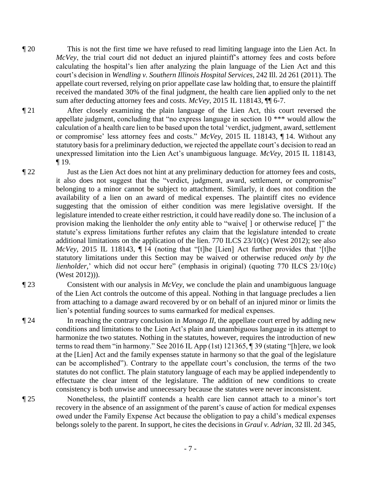- ¶ 20 This is not the first time we have refused to read limiting language into the Lien Act. In *McVey*, the trial court did not deduct an injured plaintiff's attorney fees and costs before calculating the hospital's lien after analyzing the plain language of the Lien Act and this court's decision in *Wendling v. Southern Illinois Hospital Services*, 242 Ill. 2d 261 (2011). The appellate court reversed, relying on prior appellate case law holding that, to ensure the plaintiff received the mandated 30% of the final judgment, the health care lien applied only to the net sum after deducting attorney fees and costs. *McVey*, 2015 IL 118143, ¶¶ 6-7.
- 

¶ 21 After closely examining the plain language of the Lien Act, this court reversed the appellate judgment, concluding that "no express language in section 10 \*\*\* would allow the calculation of a health care lien to be based upon the total 'verdict, judgment, award, settlement or compromise' less attorney fees and costs." *McVey*, 2015 IL 118143, ¶ 14. Without any statutory basis for a preliminary deduction, we rejected the appellate court's decision to read an unexpressed limitation into the Lien Act's unambiguous language. *McVey*, 2015 IL 118143, ¶ 19.

¶ 22 Just as the Lien Act does not hint at any preliminary deduction for attorney fees and costs, it also does not suggest that the "verdict, judgment, award, settlement, or compromise" belonging to a minor cannot be subject to attachment. Similarly, it does not condition the availability of a lien on an award of medical expenses. The plaintiff cites no evidence suggesting that the omission of either condition was mere legislative oversight. If the legislature intended to create either restriction, it could have readily done so. The inclusion of a provision making the lienholder the *only* entity able to "waive[ ] or otherwise reduce[ ]" the statute's express limitations further refutes any claim that the legislature intended to create additional limitations on the application of the lien. 770 ILCS 23/10(c) (West 2012); see also *McVey*, 2015 IL 118143, ¶ 14 (noting that "[t]he [Lien] Act further provides that '[t]he statutory limitations under this Section may be waived or otherwise reduced *only by the lienholder*,' which did not occur here" (emphasis in original) (quoting 770 ILCS 23/10(c) (West 2012))).

- ¶ 23 Consistent with our analysis in *McVey*, we conclude the plain and unambiguous language of the Lien Act controls the outcome of this appeal. Nothing in that language precludes a lien from attaching to a damage award recovered by or on behalf of an injured minor or limits the lien's potential funding sources to sums earmarked for medical expenses.
- ¶ 24 In reaching the contrary conclusion in *Manago II*, the appellate court erred by adding new conditions and limitations to the Lien Act's plain and unambiguous language in its attempt to harmonize the two statutes. Nothing in the statutes, however, requires the introduction of new terms to read them "in harmony." See 2016 IL App (1st) 121365, ¶ 39 (stating "[h]ere, we look at the [Lien] Act and the family expenses statute in harmony so that the goal of the legislature can be accomplished"). Contrary to the appellate court's conclusion, the terms of the two statutes do not conflict. The plain statutory language of each may be applied independently to effectuate the clear intent of the legislature. The addition of new conditions to create consistency is both unwise and unnecessary because the statutes were never inconsistent.
- ¶ 25 Nonetheless, the plaintiff contends a health care lien cannot attach to a minor's tort recovery in the absence of an assignment of the parent's cause of action for medical expenses owed under the Family Expense Act because the obligation to pay a child's medical expenses belongs solely to the parent. In support, he cites the decisions in *Graul v. Adrian*, 32 Ill. 2d 345,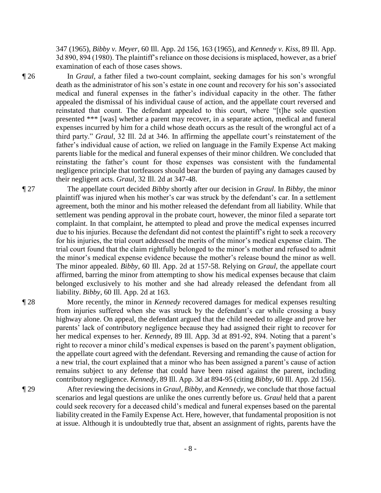347 (1965), *Bibby v. Meyer*, 60 Ill. App. 2d 156, 163 (1965), and *Kennedy v. Kiss*, 89 Ill. App. 3d 890, 894 (1980). The plaintiff's reliance on those decisions is misplaced, however, as a brief examination of each of those cases shows.

¶ 26 In *Graul*, a father filed a two-count complaint, seeking damages for his son's wrongful death as the administrator of his son's estate in one count and recovery for his son's associated medical and funeral expenses in the father's individual capacity in the other. The father appealed the dismissal of his individual cause of action, and the appellate court reversed and reinstated that count. The defendant appealed to this court, where "[t]he sole question presented \*\*\* [was] whether a parent may recover, in a separate action, medical and funeral expenses incurred by him for a child whose death occurs as the result of the wrongful act of a third party." *Graul*, 32 Ill. 2d at 346. In affirming the appellate court's reinstatement of the father's individual cause of action, we relied on language in the Family Expense Act making parents liable for the medical and funeral expenses of their minor children. We concluded that reinstating the father's count for those expenses was consistent with the fundamental negligence principle that tortfeasors should bear the burden of paying any damages caused by their negligent acts. *Graul*, 32 Ill. 2d at 347-48.

¶ 27 The appellate court decided *Bibby* shortly after our decision in *Graul*. In *Bibby*, the minor plaintiff was injured when his mother's car was struck by the defendant's car. In a settlement agreement, both the minor and his mother released the defendant from all liability. While that settlement was pending approval in the probate court, however, the minor filed a separate tort complaint. In that complaint, he attempted to plead and prove the medical expenses incurred due to his injuries. Because the defendant did not contest the plaintiff's right to seek a recovery for his injuries, the trial court addressed the merits of the minor's medical expense claim. The trial court found that the claim rightfully belonged to the minor's mother and refused to admit the minor's medical expense evidence because the mother's release bound the minor as well. The minor appealed. *Bibby*, 60 Ill. App. 2d at 157-58. Relying on *Graul*, the appellate court affirmed, barring the minor from attempting to show his medical expenses because that claim belonged exclusively to his mother and she had already released the defendant from all liability. *Bibby*, 60 Ill. App. 2d at 163.

¶ 28 More recently, the minor in *Kennedy* recovered damages for medical expenses resulting from injuries suffered when she was struck by the defendant's car while crossing a busy highway alone. On appeal, the defendant argued that the child needed to allege and prove her parents' lack of contributory negligence because they had assigned their right to recover for her medical expenses to her. *Kennedy*, 89 Ill. App. 3d at 891-92, 894. Noting that a parent's right to recover a minor child's medical expenses is based on the parent's payment obligation, the appellate court agreed with the defendant. Reversing and remanding the cause of action for a new trial, the court explained that a minor who has been assigned a parent's cause of action remains subject to any defense that could have been raised against the parent, including contributory negligence. *Kennedy*, 89 Ill. App. 3d at 894-95 (citing *Bibby*, 60 Ill. App. 2d 156).

¶ 29 After reviewing the decisions in *Graul*, *Bibby*, and *Kennedy*, we conclude that those factual scenarios and legal questions are unlike the ones currently before us. *Graul* held that a parent could seek recovery for a deceased child's medical and funeral expenses based on the parental liability created in the Family Expense Act. Here, however, that fundamental proposition is not at issue. Although it is undoubtedly true that, absent an assignment of rights, parents have the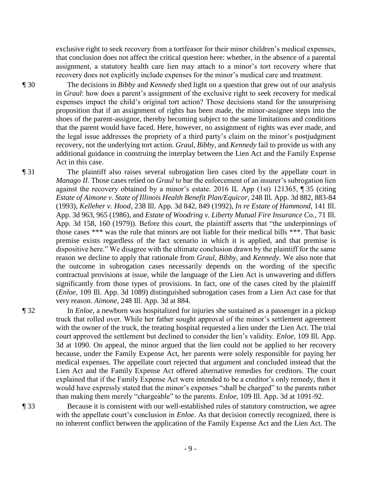exclusive right to seek recovery from a tortfeasor for their minor children's medical expenses, that conclusion does not affect the critical question here: whether, in the absence of a parental assignment, a statutory health care lien may attach to a minor's tort recovery where that recovery does not explicitly include expenses for the minor's medical care and treatment.

¶ 30 The decisions in *Bibby* and *Kennedy* shed light on a question that grew out of our analysis in *Graul*: how does a parent's assignment of the exclusive right to seek recovery for medical expenses impact the child's original tort action? Those decisions stand for the unsurprising proposition that if an assignment of rights has been made, the minor-assignee steps into the shoes of the parent-assignor, thereby becoming subject to the same limitations and conditions that the parent would have faced. Here, however, no assignment of rights was ever made, and the legal issue addresses the propriety of a third party's claim on the minor's postjudgment recovery, not the underlying tort action. *Graul*, *Bibby*, and *Kennedy* fail to provide us with any additional guidance in construing the interplay between the Lien Act and the Family Expense Act in this case.

¶ 31 The plaintiff also raises several subrogation lien cases cited by the appellate court in *Manago II*. Those cases relied on *Graul* to bar the enforcement of an insurer's subrogation lien against the recovery obtained by a minor's estate. 2016 IL App (1st) 121365, ¶ 35 (citing *Estate of Aimone v. State of Illinois Health Benefit Plan/Equicor*, 248 Ill. App. 3d 882, 883-84 (1993), *Kelleher v. Hood*, 238 Ill. App. 3d 842, 849 (1992), *In re Estate of Hammond*, 141 Ill. App. 3d 963, 965 (1986), and *Estate of Woodring v. Liberty Mutual Fire Insurance Co.*, 71 Ill. App. 3d 158, 160 (1979)). Before this court, the plaintiff asserts that "the underpinnings of those cases \*\*\* was the rule that minors are not liable for their medical bills \*\*\*. That basic premise exists regardless of the fact scenario in which it is applied, and that premise is dispositive here." We disagree with the ultimate conclusion drawn by the plaintiff for the same reason we decline to apply that rationale from *Graul*, *Bibby*, and *Kennedy*. We also note that the outcome in subrogation cases necessarily depends on the wording of the specific contractual provisions at issue, while the language of the Lien Act is unwavering and differs significantly from those types of provisions. In fact, one of the cases cited by the plaintiff (*Enloe*, 109 Ill. App. 3d 1089) distinguished subrogation cases from a Lien Act case for that very reason. *Aimone*, 248 Ill. App. 3d at 884.

¶ 32 In *Enloe*, a newborn was hospitalized for injuries she sustained as a passenger in a pickup truck that rolled over. While her father sought approval of the minor's settlement agreement with the owner of the truck, the treating hospital requested a lien under the Lien Act. The trial court approved the settlement but declined to consider the lien's validity. *Enloe*, 109 Ill. App. 3d at 1090. On appeal, the minor argued that the lien could not be applied to her recovery because, under the Family Expense Act, her parents were solely responsible for paying her medical expenses. The appellate court rejected that argument and concluded instead that the Lien Act and the Family Expense Act offered alternative remedies for creditors. The court explained that if the Family Expense Act were intended to be a creditor's only remedy, then it would have expressly stated that the minor's expenses "shall be charged" to the parents rather than making them merely "chargeable" to the parents. *Enloe*, 109 Ill. App. 3d at 1091-92.

¶ 33 Because it is consistent with our well-established rules of statutory construction, we agree with the appellate court's conclusion in *Enloe*. As that decision correctly recognized, there is no inherent conflict between the application of the Family Expense Act and the Lien Act. The

- 9 -